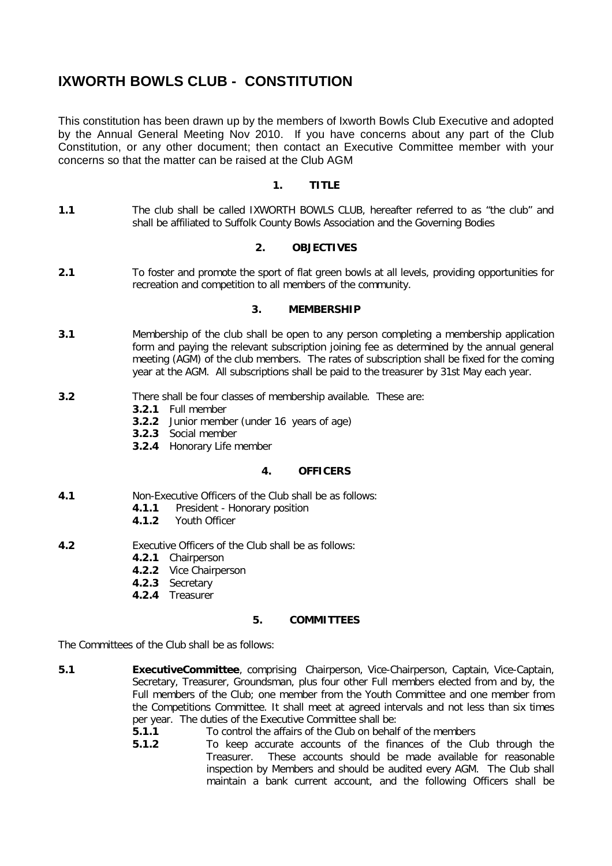# **IXWORTH BOWLS CLUB - CONSTITUTION**

This constitution has been drawn up by the members of Ixworth Bowls Club Executive and adopted by the Annual General Meeting Nov 2010. If you have concerns about any part of the Club Constitution, or any other document; then contact an Executive Committee member with your concerns so that the matter can be raised at the Club AGM

# **1. TITLE**

**1.1** The club shall be called IXWORTH BOWLS CLUB, hereafter referred to as "the club" and shall be affiliated to Suffolk County Bowls Association and the Governing Bodies

# **2. OBJECTIVES**

**2.1** To foster and promote the sport of flat green bowls at all levels, providing opportunities for recreation and competition to all members of the community.

### **3. MEMBERSHIP**

- **3.1** Membership of the club shall be open to any person completing a membership application form and paying the relevant subscription joining fee as determined by the annual general meeting (AGM) of the club members. The rates of subscription shall be fixed for the coming year at the AGM. All subscriptions shall be paid to the treasurer by 31st May each year.
- **3.2** There shall be four classes of membership available. These are:
	- **3.2.1** Full member
		- **3.2.2** Junior member (under 16 years of age)
		- **3.2.3** Social member
		- **3.2.4** Honorary Life member

#### **4. OFFICERS**

- **4.1** Non-Executive Officers of the Club shall be as follows:
	- **4.1.1** President Honorary position
	- **4.1.2** Youth Officer
- **4.2** Executive Officers of the Club shall be as follows:
	- **4.2.1** Chairperson
	- **4.2.2** Vice Chairperson
	- **4.2.3** Secretary
	- **4.2.4** Treasurer

#### **5. COMMITTEES**

The Committees of the Club shall be as follows:

- **5.1 ExecutiveCommittee**, comprising Chairperson, Vice-Chairperson, Captain, Vice-Captain, Secretary, Treasurer, Groundsman, plus four other Full members elected from and by, the Full members of the Club; one member from the Youth Committee and one member from the Competitions Committee. It shall meet at agreed intervals and not less than six times per year. The duties of the Executive Committee shall be:
	- **5.1.1** To control the affairs of the Club on behalf of the members
	- **5.1.2** To keep accurate accounts of the finances of the Club through the Treasurer. These accounts should be made available for reasonable inspection by Members and should be audited every AGM. The Club shall maintain a bank current account, and the following Officers shall be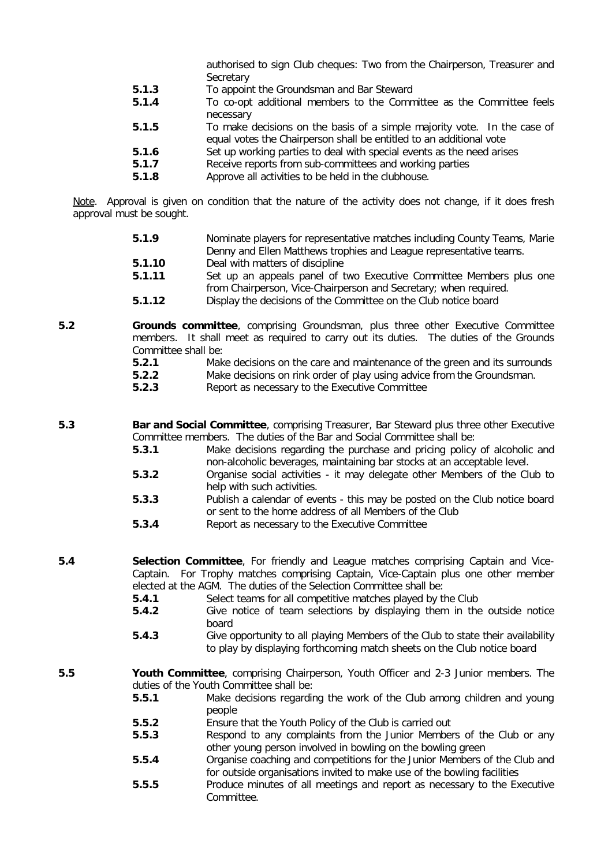authorised to sign Club cheques: Two from the Chairperson, Treasurer and **Secretary** 

- **5.1.3** To appoint the Groundsman and Bar Steward
- **5.1.4** To co-opt additional members to the Committee as the Committee feels necessary
- **5.1.5** To make decisions on the basis of a simple majority vote. In the case of equal votes the Chairperson shall be entitled to an additional vote
- **5.1.6** Set up working parties to deal with special events as the need arises
- **5.1.7** Receive reports from sub-committees and working parties
- **5.1.8** Approve all activities to be held in the clubhouse.

*Note. Approval is given on condition that the nature of the activity does not change, if it does fresh approval must be sought.*

- **5.1.9** Nominate players for representative matches including County Teams, Marie Denny and Ellen Matthews trophies and League representative teams.
- **5.1.10** Deal with matters of discipline<br>**5.1.11** Set up an appeals panel of t
- Set up an appeals panel of two Executive Committee Members plus one from Chairperson, Vice-Chairperson and Secretary; when required.
- **5.1.12** Display the decisions of the Committee on the Club notice board
- **5.2 Grounds committee**, comprising Groundsman, plus three other Executive Committee members. It shall meet as required to carry out its duties. The duties of the Grounds Committee shall be:
	- **5.2.1** Make decisions on the care and maintenance of the green and its surrounds
	- **5.2.2** Make decisions on rink order of play using advice from the Groundsman.<br>**5.2.3** Report as necessary to the Executive Committee
	- **5.2.3** Report as necessary to the Executive Committee

**5.3 Bar and Social Committee**, comprising Treasurer, Bar Steward plus three other Executive Committee members. The duties of the Bar and Social Committee shall be:

- **5.3.1** Make decisions regarding the purchase and pricing policy of alcoholic and non-alcoholic beverages, maintaining bar stocks at an acceptable level.
- **5.3.2** Organise social activities it may delegate other Members of the Club to help with such activities.
- **5.3.3** Publish a calendar of events this may be posted on the Club notice board or sent to the home address of all Members of the Club
- **5.3.4** Report as necessary to the Executive Committee

**5.4 Selection Committee**, For friendly and League matches comprising Captain and Vice-Captain. For Trophy matches comprising Captain, Vice-Captain plus one other member

- elected at the AGM. The duties of the Selection Committee shall be:
- **5.4.1** Select teams for all competitive matches played by the Club
- **5.4.2** Give notice of team selections by displaying them in the outside notice board
- **5.4.3** Give opportunity to all playing Members of the Club to state their availability to play by displaying forthcoming match sheets on the Club notice board
- **5.5 Youth Committee**, comprising Chairperson, Youth Officer and 2-3 Junior members. The duties of the Youth Committee shall be:
	- **5.5.1** Make decisions regarding the work of the Club among children and young people
	- **5.5.2** Ensure that the Youth Policy of the Club is carried out
	- **5.5.3** Respond to any complaints from the Junior Members of the Club or any other young person involved in bowling on the bowling green
	- **5.5.4** Organise coaching and competitions for the Junior Members of the Club and for outside organisations invited to make use of the bowling facilities
	- **5.5.5** Produce minutes of all meetings and report as necessary to the Executive Committee.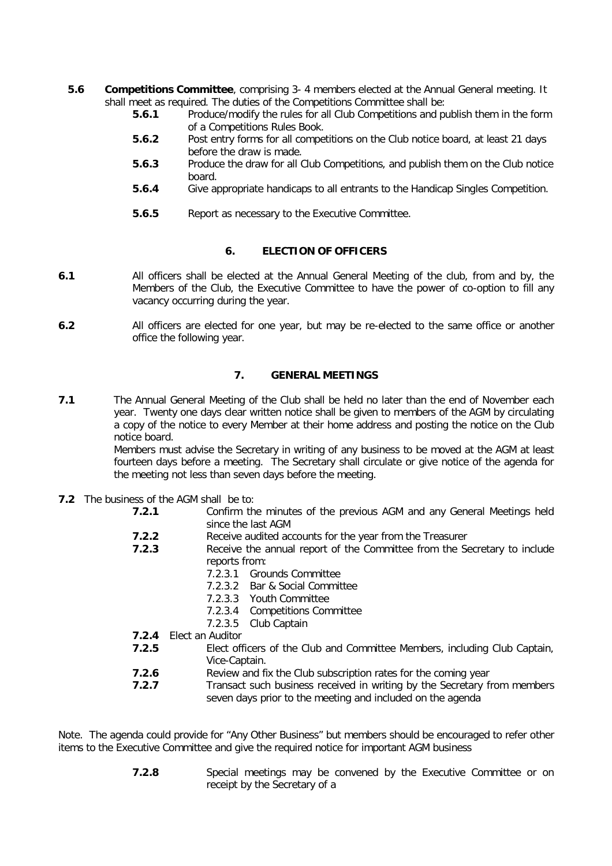- **5.6 Competitions Committee**, comprising 3- 4 members elected at the Annual General meeting. It shall meet as required. The duties of the Competitions Committee shall be:
	- **5.6.1** Produce/modify the rules for all Club Competitions and publish them in the form of a Competitions Rules Book.
	- **5.6.2** Post entry forms for all competitions on the Club notice board, at least 21 days before the draw is made.
	- **5.6.3** Produce the draw for all Club Competitions, and publish them on the Club notice board.
	- **5.6.4** Give appropriate handicaps to all entrants to the Handicap Singles Competition.
	- **5.6.5** Report as necessary to the Executive Committee.

# **6. ELECTION OF OFFICERS**

- **6.1** All officers shall be elected at the Annual General Meeting of the club, from and by, the Members of the Club, the Executive Committee to have the power of co-option to fill any vacancy occurring during the year.
- **6.2** All officers are elected for one year, but may be re-elected to the same office or another office the following year.

## **7. GENERAL MEETINGS**

**7.1** The Annual General Meeting of the Club shall be held no later than the end of November each year. Twenty one days clear written notice shall be given to members of the AGM by circulating a copy of the notice to every Member at their home address and posting the notice on the Club notice board.

> Members must advise the Secretary in writing of any business to be moved at the AGM at least fourteen days before a meeting. The Secretary shall circulate or give notice of the agenda for the meeting not less than seven days before the meeting.

- **7.2** The business of the AGM shall be to:
	- **7.2.1** Confirm the minutes of the previous AGM and any General Meetings held since the last AGM
	- **7.2.2** Receive audited accounts for the year from the Treasurer
	- **7.2.3** Receive the annual report of the Committee from the Secretary to include reports from:
		- 7.2.3.1 Grounds Committee
		- 7.2.3.2 Bar & Social Committee
		- 7.2.3.3 Youth Committee
		- 7.2.3.4 Competitions Committee
		- 7.2.3.5 Club Captain
	- **7.2.4** Elect an Auditor
	- **7.2.5** Elect officers of the Club and Committee Members, including Club Captain, Vice-Captain.
	- **7.2.6** Review and fix the Club subscription rates for the coming year
	- **7.2.7** Transact such business received in writing by the Secretary from members seven days prior to the meeting and included on the agenda

*Note. The agenda could provide for "Any Other Business" but members should be encouraged to refer other items to the Executive Committee and give the required notice for important AGM business*

> **7.2.8** Special meetings may be convened by the Executive Committee or on receipt by the Secretary of a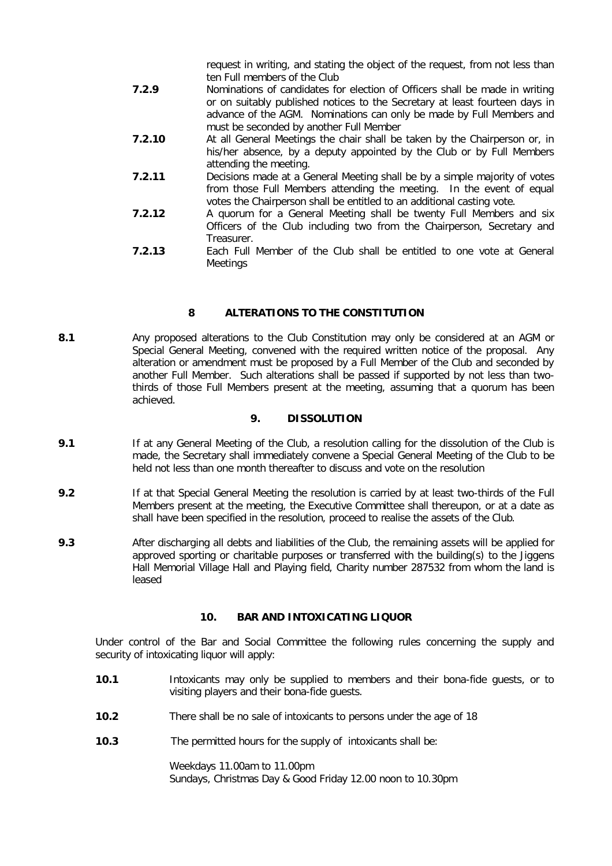request in writing, and stating the object of the request, from not less than ten Full members of the Club

- **7.2.9** Nominations of candidates for election of Officers shall be made in writing or on suitably published notices to the Secretary at least fourteen days in advance of the AGM. Nominations can only be made by Full Members and must be seconded by another Full Member
- **7.2.10** At all General Meetings the chair shall be taken by the Chairperson or, in his/her absence, by a deputy appointed by the Club or by Full Members attending the meeting.
- **7.2.11** Decisions made at a General Meeting shall be by a simple majority of votes from those Full Members attending the meeting. In the event of equal votes the Chairperson shall be entitled to an additional casting vote.
- **7.2.12** A quorum for a General Meeting shall be twenty Full Members and six Officers of the Club including two from the Chairperson, Secretary and Treasurer.
- **7.2.13** Each Full Member of the Club shall be entitled to one vote at General **Meetings**

# **8 ALTERATIONS TO THE CONSTITUTION**

**8.1** Any proposed alterations to the Club Constitution may only be considered at an AGM or Special General Meeting, convened with the required written notice of the proposal. Any alteration or amendment must be proposed by a Full Member of the Club and seconded by another Full Member. Such alterations shall be passed if supported by not less than twothirds of those Full Members present at the meeting, assuming that a quorum has been achieved.

#### **9. DISSOLUTION**

- **9.1** If at any General Meeting of the Club, a resolution calling for the dissolution of the Club is made, the Secretary shall immediately convene a Special General Meeting of the Club to be held not less than one month thereafter to discuss and vote on the resolution
- **9.2** If at that Special General Meeting the resolution is carried by at least two-thirds of the Full Members present at the meeting, the Executive Committee shall thereupon, or at a date as shall have been specified in the resolution, proceed to realise the assets of the Club.
- **9.3** After discharging all debts and liabilities of the Club, the remaining assets will be applied for approved sporting or charitable purposes or transferred with the building(s) to the Jiggens Hall Memorial Village Hall and Playing field, Charity number 287532 from whom the land is leased

#### **10. BAR AND INTOXICATING LIQUOR**

Under control of the Bar and Social Committee the following rules concerning the supply and security of intoxicating liquor will apply:

- **10.1** Intoxicants may only be supplied to members and their bona-fide guests, or to visiting players and their bona-fide guests.
- **10.2** There shall be no sale of intoxicants to persons under the age of 18
- **10.3** The permitted hours for the supply of intoxicants shall be:

Weekdays 11.00am to 11.00pm Sundays, Christmas Day & Good Friday 12.00 noon to 10.30pm